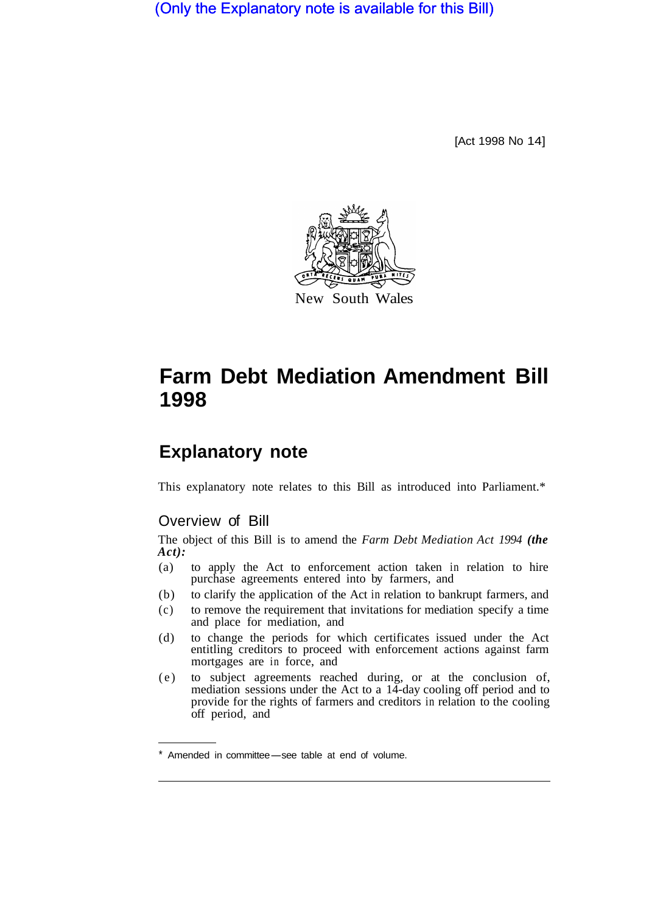(Only the Explanatory note is available for this Bill)

[Act 1998 No 14]



# **Farm Debt Mediation Amendment Bill 1998**

# **Explanatory note**

This explanatory note relates to this Bill as introduced into Parliament.\*

# Overview of Bill

The object of this Bill is to amend the *Farm Debt Mediation Act 1994 (the Act):* 

- (a) to apply the Act to enforcement action taken in relation to hire purchase agreements entered into by farmers, and
- (b) to clarify the application of the Act in relation to bankrupt farmers, and
- (c) to remove the requirement that invitations for mediation specify a time and place for mediation, and
- (d) to change the periods for which certificates issued under the Act entitling creditors to proceed with enforcement actions against farm mortgages are in force, and
- (e) to subject agreements reached during, or at the conclusion of, mediation sessions under the Act to a 14-day cooling off period and to provide for the rights of farmers and creditors in relation to the cooling off period, and

Amended in committee-see table at end of volume.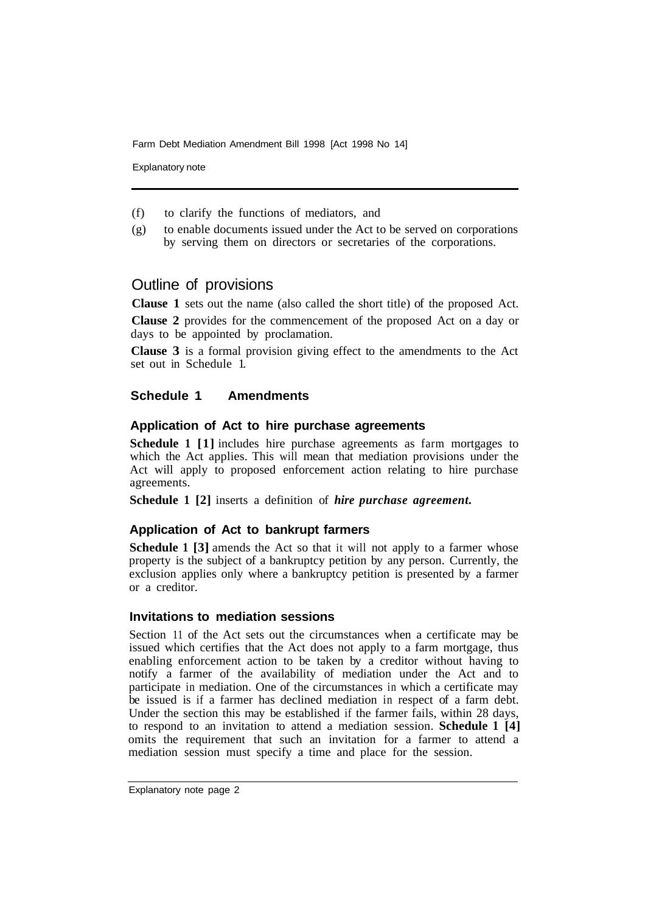Farm Debt Mediation Amendment Bill 1998 [Act 1998 No 14]

Explanatory note

- (f) to clarify the functions of mediators, and
- (g) to enable documents issued under the Act to be served on corporations by serving them on directors or secretaries of the corporations.

## Outline of provisions

**Clause 1** sets out the name (also called the short title) of the proposed Act.

**Clause 2** provides for the commencement of the proposed Act on a day or days to be appointed by proclamation.

**Clause 3** is a formal provision giving effect to the amendments to the Act set out in Schedule 1.

### **Schedule 1 Amendments**

#### **Application of Act to hire purchase agreements**

**Schedule 1 [1]** includes hire purchase agreements as farm mortgages to which the Act applies. This will mean that mediation provisions under the Act will apply to proposed enforcement action relating to hire purchase agreements.

**Schedule 1 [2]** inserts a definition of *hire purchase agreement.* 

#### **Application of Act to bankrupt farmers**

**Schedule 1 [3]** amends the Act so that it will not apply to a farmer whose property is the subject of a bankruptcy petition by any person. Currently, the exclusion applies only where a bankruptcy petition is presented by a farmer or a creditor.

#### **Invitations to mediation sessions**

Section 11 of the Act sets out the circumstances when a certificate may be issued which certifies that the Act does not apply to a farm mortgage, thus enabling enforcement action to be taken by a creditor without having to notify a farmer of the availability of mediation under the Act and to participate in mediation. One of the circumstances in which a certificate may be issued is if a farmer has declined mediation in respect of a farm debt. Under the section this may be established if the farmer fails, within 28 days, to respond to an invitation to attend a mediation session. **Schedule 1 [4]**  omits the requirement that such an invitation for a farmer to attend a mediation session must specify a time and place for the session.